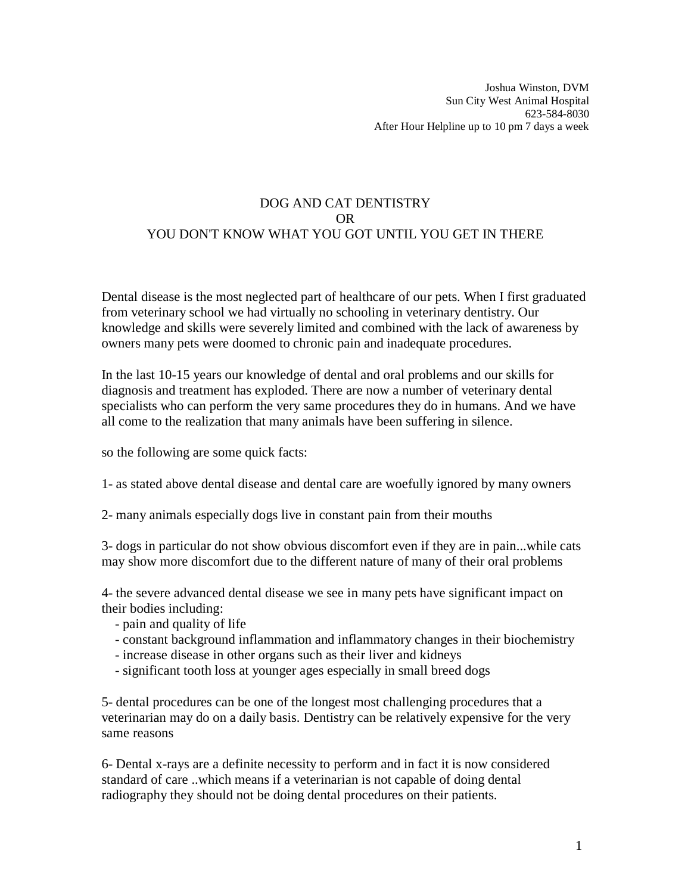# DOG AND CAT DENTISTRY OR YOU DON'T KNOW WHAT YOU GOT UNTIL YOU GET IN THERE

Dental disease is the most neglected part of healthcare of our pets. When I first graduated from veterinary school we had virtually no schooling in veterinary dentistry. Our knowledge and skills were severely limited and combined with the lack of awareness by owners many pets were doomed to chronic pain and inadequate procedures.

In the last 10-15 years our knowledge of dental and oral problems and our skills for diagnosis and treatment has exploded. There are now a number of veterinary dental specialists who can perform the very same procedures they do in humans. And we have all come to the realization that many animals have been suffering in silence.

so the following are some quick facts:

1- as stated above dental disease and dental care are woefully ignored by many owners

2- many animals especially dogs live in constant pain from their mouths

3- dogs in particular do not show obvious discomfort even if they are in pain...while cats may show more discomfort due to the different nature of many of their oral problems

4- the severe advanced dental disease we see in many pets have significant impact on their bodies including:

- pain and quality of life
- constant background inflammation and inflammatory changes in their biochemistry
- increase disease in other organs such as their liver and kidneys
- significant tooth loss at younger ages especially in small breed dogs

5- dental procedures can be one of the longest most challenging procedures that a veterinarian may do on a daily basis. Dentistry can be relatively expensive for the very same reasons

6- Dental x-rays are a definite necessity to perform and in fact it is now considered standard of care ..which means if a veterinarian is not capable of doing dental radiography they should not be doing dental procedures on their patients.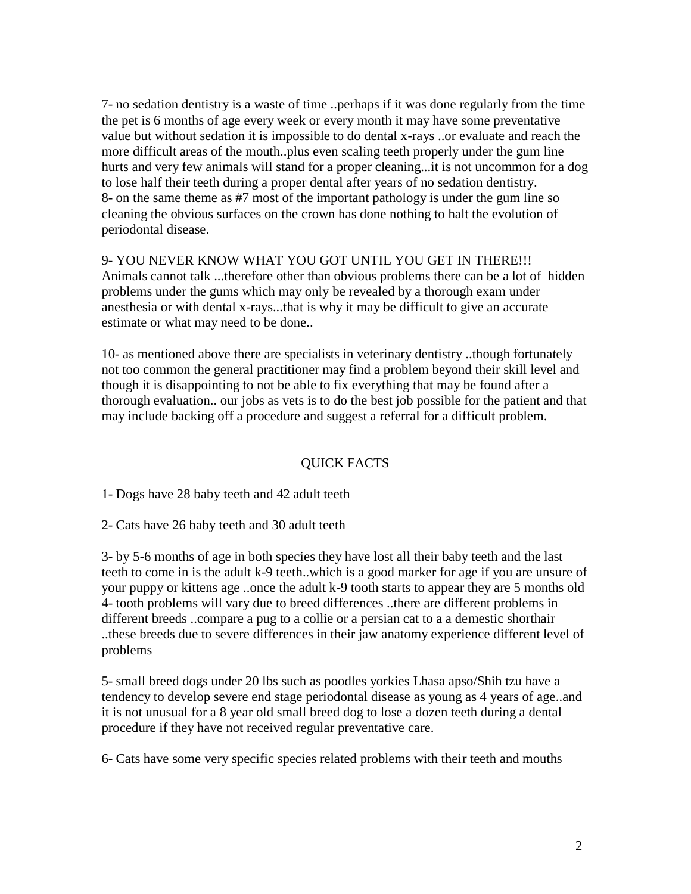7- no sedation dentistry is a waste of time ..perhaps if it was done regularly from the time the pet is 6 months of age every week or every month it may have some preventative value but without sedation it is impossible to do dental x-rays ..or evaluate and reach the more difficult areas of the mouth..plus even scaling teeth properly under the gum line hurts and very few animals will stand for a proper cleaning...it is not uncommon for a dog to lose half their teeth during a proper dental after years of no sedation dentistry. 8- on the same theme as #7 most of the important pathology is under the gum line so cleaning the obvious surfaces on the crown has done nothing to halt the evolution of periodontal disease.

9- YOU NEVER KNOW WHAT YOU GOT UNTIL YOU GET IN THERE!!! Animals cannot talk ...therefore other than obvious problems there can be a lot of hidden problems under the gums which may only be revealed by a thorough exam under anesthesia or with dental x-rays...that is why it may be difficult to give an accurate estimate or what may need to be done..

10- as mentioned above there are specialists in veterinary dentistry ..though fortunately not too common the general practitioner may find a problem beyond their skill level and though it is disappointing to not be able to fix everything that may be found after a thorough evaluation.. our jobs as vets is to do the best job possible for the patient and that may include backing off a procedure and suggest a referral for a difficult problem.

## QUICK FACTS

1- Dogs have 28 baby teeth and 42 adult teeth

2- Cats have 26 baby teeth and 30 adult teeth

3- by 5-6 months of age in both species they have lost all their baby teeth and the last teeth to come in is the adult k-9 teeth..which is a good marker for age if you are unsure of your puppy or kittens age ..once the adult k-9 tooth starts to appear they are 5 months old 4- tooth problems will vary due to breed differences ..there are different problems in different breeds ..compare a pug to a collie or a persian cat to a a demestic shorthair ..these breeds due to severe differences in their jaw anatomy experience different level of problems

5- small breed dogs under 20 lbs such as poodles yorkies Lhasa apso/Shih tzu have a tendency to develop severe end stage periodontal disease as young as 4 years of age..and it is not unusual for a 8 year old small breed dog to lose a dozen teeth during a dental procedure if they have not received regular preventative care.

6- Cats have some very specific species related problems with their teeth and mouths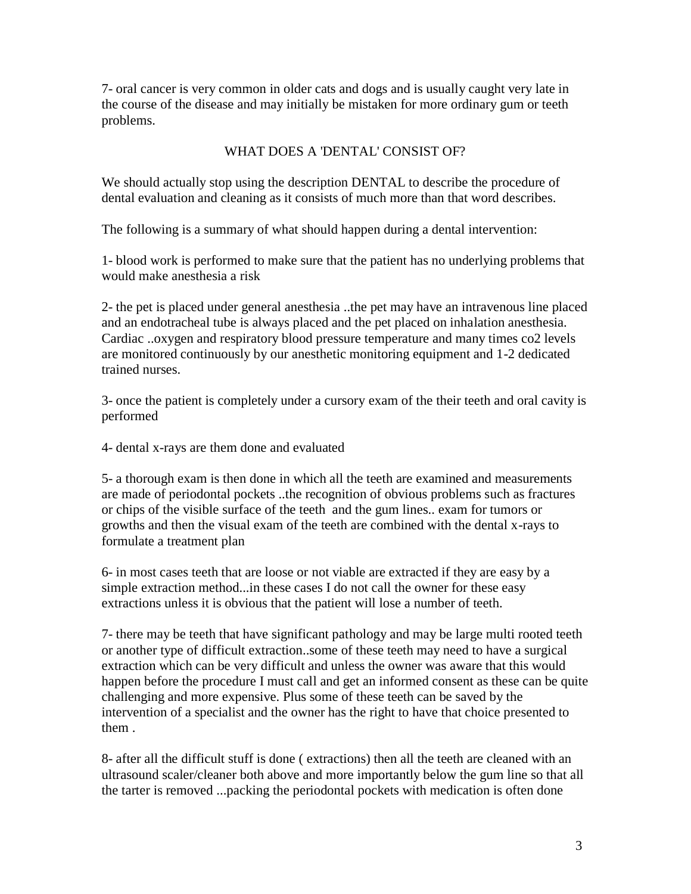7- oral cancer is very common in older cats and dogs and is usually caught very late in the course of the disease and may initially be mistaken for more ordinary gum or teeth problems.

## WHAT DOES A 'DENTAL' CONSIST OF?

We should actually stop using the description DENTAL to describe the procedure of dental evaluation and cleaning as it consists of much more than that word describes.

The following is a summary of what should happen during a dental intervention:

1- blood work is performed to make sure that the patient has no underlying problems that would make anesthesia a risk

2- the pet is placed under general anesthesia ..the pet may have an intravenous line placed and an endotracheal tube is always placed and the pet placed on inhalation anesthesia. Cardiac ..oxygen and respiratory blood pressure temperature and many times co2 levels are monitored continuously by our anesthetic monitoring equipment and 1-2 dedicated trained nurses.

3- once the patient is completely under a cursory exam of the their teeth and oral cavity is performed

4- dental x-rays are them done and evaluated

5- a thorough exam is then done in which all the teeth are examined and measurements are made of periodontal pockets ..the recognition of obvious problems such as fractures or chips of the visible surface of the teeth and the gum lines.. exam for tumors or growths and then the visual exam of the teeth are combined with the dental x-rays to formulate a treatment plan

6- in most cases teeth that are loose or not viable are extracted if they are easy by a simple extraction method...in these cases I do not call the owner for these easy extractions unless it is obvious that the patient will lose a number of teeth.

7- there may be teeth that have significant pathology and may be large multi rooted teeth or another type of difficult extraction..some of these teeth may need to have a surgical extraction which can be very difficult and unless the owner was aware that this would happen before the procedure I must call and get an informed consent as these can be quite challenging and more expensive. Plus some of these teeth can be saved by the intervention of a specialist and the owner has the right to have that choice presented to them .

8- after all the difficult stuff is done ( extractions) then all the teeth are cleaned with an ultrasound scaler/cleaner both above and more importantly below the gum line so that all the tarter is removed ...packing the periodontal pockets with medication is often done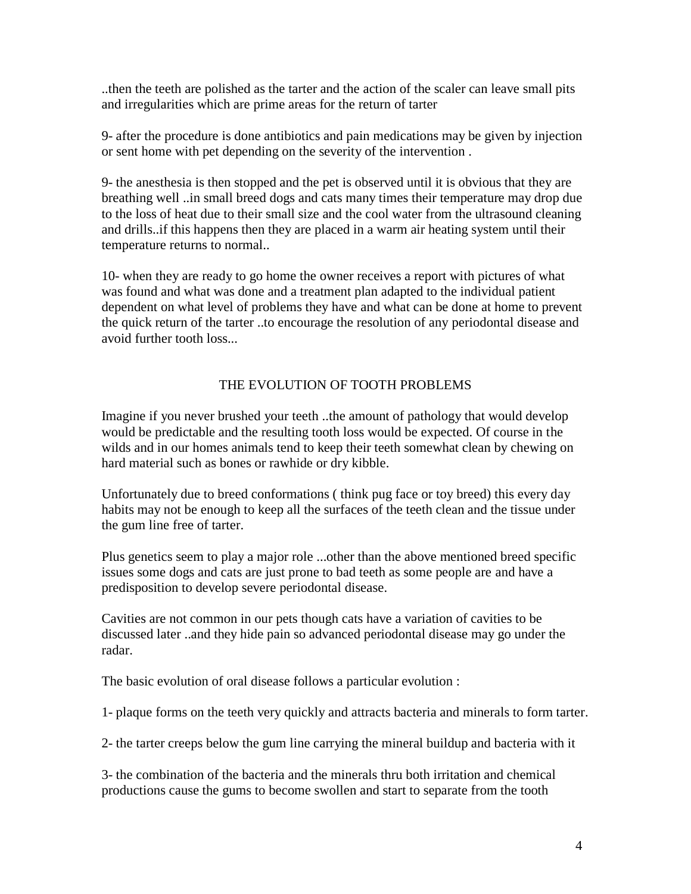..then the teeth are polished as the tarter and the action of the scaler can leave small pits and irregularities which are prime areas for the return of tarter

9- after the procedure is done antibiotics and pain medications may be given by injection or sent home with pet depending on the severity of the intervention .

9- the anesthesia is then stopped and the pet is observed until it is obvious that they are breathing well ..in small breed dogs and cats many times their temperature may drop due to the loss of heat due to their small size and the cool water from the ultrasound cleaning and drills..if this happens then they are placed in a warm air heating system until their temperature returns to normal..

10- when they are ready to go home the owner receives a report with pictures of what was found and what was done and a treatment plan adapted to the individual patient dependent on what level of problems they have and what can be done at home to prevent the quick return of the tarter ..to encourage the resolution of any periodontal disease and avoid further tooth loss...

# THE EVOLUTION OF TOOTH PROBLEMS

Imagine if you never brushed your teeth ..the amount of pathology that would develop would be predictable and the resulting tooth loss would be expected. Of course in the wilds and in our homes animals tend to keep their teeth somewhat clean by chewing on hard material such as bones or rawhide or dry kibble.

Unfortunately due to breed conformations ( think pug face or toy breed) this every day habits may not be enough to keep all the surfaces of the teeth clean and the tissue under the gum line free of tarter.

Plus genetics seem to play a major role ...other than the above mentioned breed specific issues some dogs and cats are just prone to bad teeth as some people are and have a predisposition to develop severe periodontal disease.

Cavities are not common in our pets though cats have a variation of cavities to be discussed later ..and they hide pain so advanced periodontal disease may go under the radar.

The basic evolution of oral disease follows a particular evolution :

1- plaque forms on the teeth very quickly and attracts bacteria and minerals to form tarter.

2- the tarter creeps below the gum line carrying the mineral buildup and bacteria with it

3- the combination of the bacteria and the minerals thru both irritation and chemical productions cause the gums to become swollen and start to separate from the tooth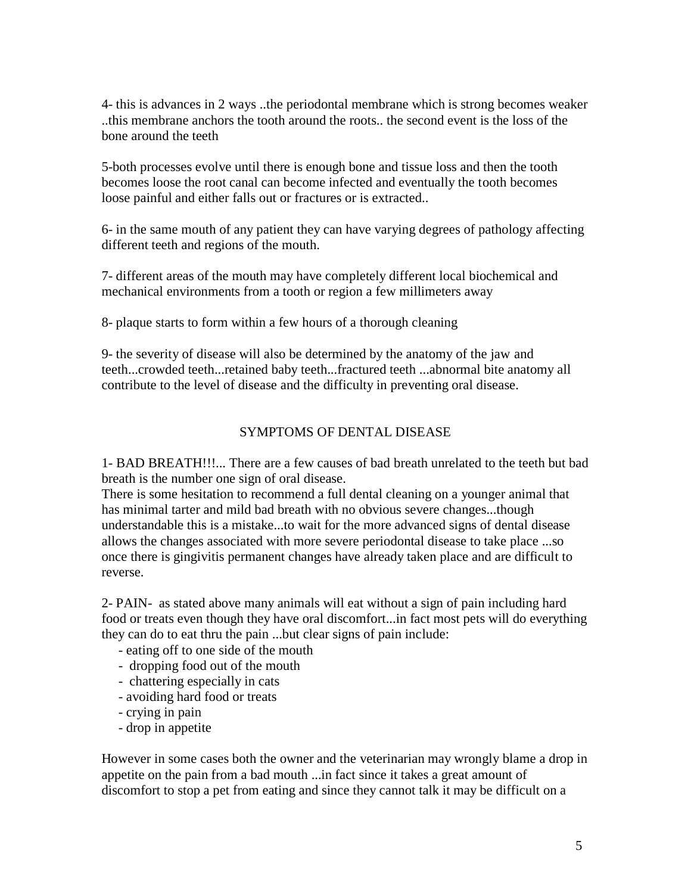4- this is advances in 2 ways ..the periodontal membrane which is strong becomes weaker ..this membrane anchors the tooth around the roots.. the second event is the loss of the bone around the teeth

5-both processes evolve until there is enough bone and tissue loss and then the tooth becomes loose the root canal can become infected and eventually the tooth becomes loose painful and either falls out or fractures or is extracted..

6- in the same mouth of any patient they can have varying degrees of pathology affecting different teeth and regions of the mouth.

7- different areas of the mouth may have completely different local biochemical and mechanical environments from a tooth or region a few millimeters away

8- plaque starts to form within a few hours of a thorough cleaning

9- the severity of disease will also be determined by the anatomy of the jaw and teeth...crowded teeth...retained baby teeth...fractured teeth ...abnormal bite anatomy all contribute to the level of disease and the difficulty in preventing oral disease.

## SYMPTOMS OF DENTAL DISEASE

1- BAD BREATH!!!... There are a few causes of bad breath unrelated to the teeth but bad breath is the number one sign of oral disease.

There is some hesitation to recommend a full dental cleaning on a younger animal that has minimal tarter and mild bad breath with no obvious severe changes...though understandable this is a mistake...to wait for the more advanced signs of dental disease allows the changes associated with more severe periodontal disease to take place ...so once there is gingivitis permanent changes have already taken place and are difficult to reverse.

2- PAIN- as stated above many animals will eat without a sign of pain including hard food or treats even though they have oral discomfort...in fact most pets will do everything they can do to eat thru the pain ...but clear signs of pain include:

- eating off to one side of the mouth
- dropping food out of the mouth
- chattering especially in cats
- avoiding hard food or treats
- crying in pain
- drop in appetite

However in some cases both the owner and the veterinarian may wrongly blame a drop in appetite on the pain from a bad mouth ...in fact since it takes a great amount of discomfort to stop a pet from eating and since they cannot talk it may be difficult on a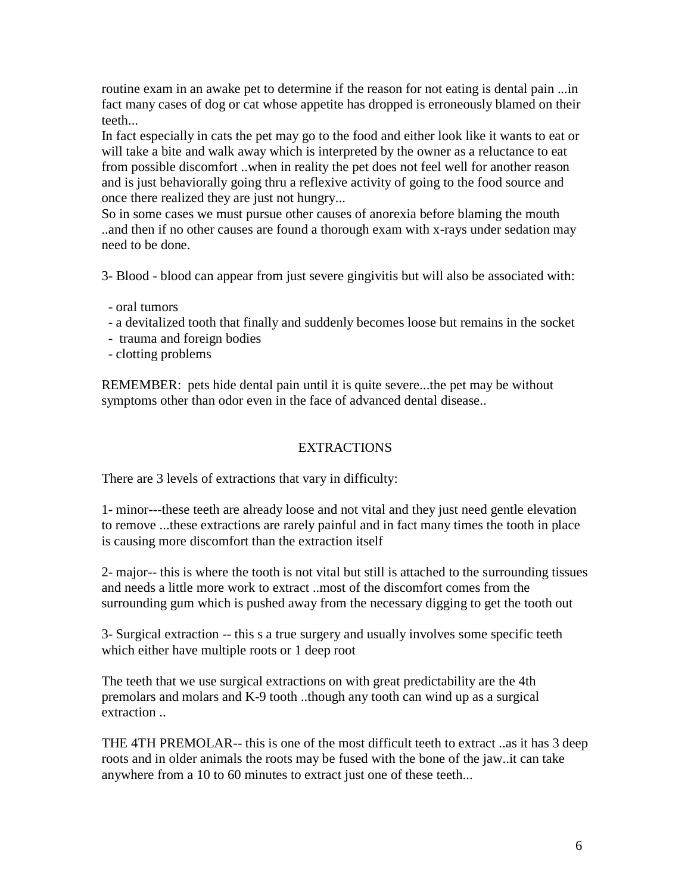routine exam in an awake pet to determine if the reason for not eating is dental pain ...in fact many cases of dog or cat whose appetite has dropped is erroneously blamed on their teeth...

In fact especially in cats the pet may go to the food and either look like it wants to eat or will take a bite and walk away which is interpreted by the owner as a reluctance to eat from possible discomfort ..when in reality the pet does not feel well for another reason and is just behaviorally going thru a reflexive activity of going to the food source and once there realized they are just not hungry...

So in some cases we must pursue other causes of anorexia before blaming the mouth ..and then if no other causes are found a thorough exam with x-rays under sedation may need to be done.

3- Blood - blood can appear from just severe gingivitis but will also be associated with:

- oral tumors
- a devitalized tooth that finally and suddenly becomes loose but remains in the socket
- trauma and foreign bodies
- clotting problems

REMEMBER: pets hide dental pain until it is quite severe...the pet may be without symptoms other than odor even in the face of advanced dental disease..

## EXTRACTIONS

There are 3 levels of extractions that vary in difficulty:

1- minor---these teeth are already loose and not vital and they just need gentle elevation to remove ...these extractions are rarely painful and in fact many times the tooth in place is causing more discomfort than the extraction itself

2- major-- this is where the tooth is not vital but still is attached to the surrounding tissues and needs a little more work to extract ..most of the discomfort comes from the surrounding gum which is pushed away from the necessary digging to get the tooth out

3- Surgical extraction -- this s a true surgery and usually involves some specific teeth which either have multiple roots or 1 deep root

The teeth that we use surgical extractions on with great predictability are the 4th premolars and molars and K-9 tooth ..though any tooth can wind up as a surgical extraction ..

THE 4TH PREMOLAR-- this is one of the most difficult teeth to extract ..as it has 3 deep roots and in older animals the roots may be fused with the bone of the jaw..it can take anywhere from a 10 to 60 minutes to extract just one of these teeth...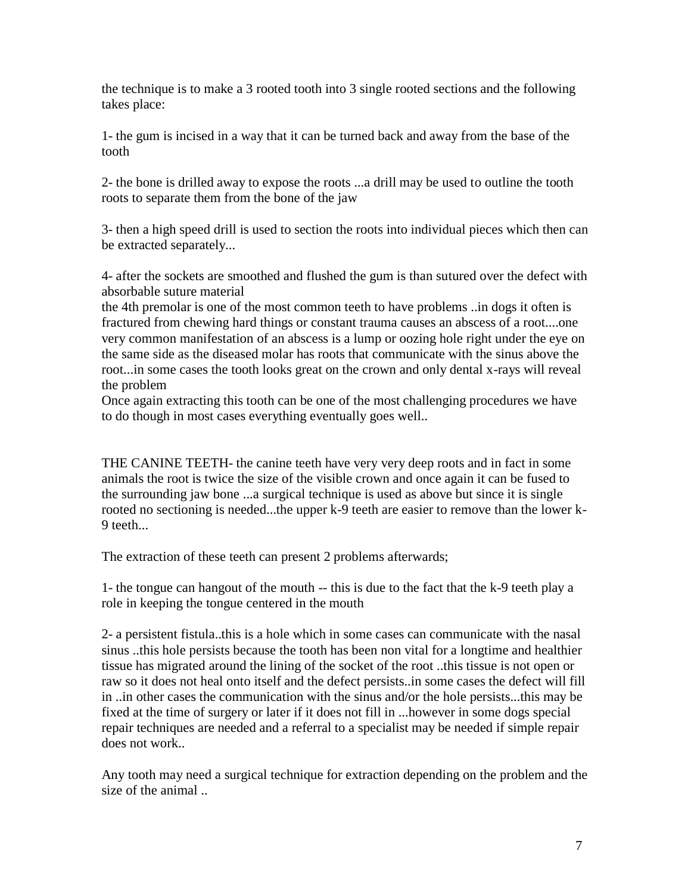the technique is to make a 3 rooted tooth into 3 single rooted sections and the following takes place:

1- the gum is incised in a way that it can be turned back and away from the base of the tooth

2- the bone is drilled away to expose the roots ...a drill may be used to outline the tooth roots to separate them from the bone of the jaw

3- then a high speed drill is used to section the roots into individual pieces which then can be extracted separately...

4- after the sockets are smoothed and flushed the gum is than sutured over the defect with absorbable suture material

the 4th premolar is one of the most common teeth to have problems ..in dogs it often is fractured from chewing hard things or constant trauma causes an abscess of a root....one very common manifestation of an abscess is a lump or oozing hole right under the eye on the same side as the diseased molar has roots that communicate with the sinus above the root...in some cases the tooth looks great on the crown and only dental x-rays will reveal the problem

Once again extracting this tooth can be one of the most challenging procedures we have to do though in most cases everything eventually goes well..

THE CANINE TEETH- the canine teeth have very very deep roots and in fact in some animals the root is twice the size of the visible crown and once again it can be fused to the surrounding jaw bone ...a surgical technique is used as above but since it is single rooted no sectioning is needed...the upper k-9 teeth are easier to remove than the lower k-9 teeth...

The extraction of these teeth can present 2 problems afterwards;

1- the tongue can hangout of the mouth -- this is due to the fact that the k-9 teeth play a role in keeping the tongue centered in the mouth

2- a persistent fistula..this is a hole which in some cases can communicate with the nasal sinus ..this hole persists because the tooth has been non vital for a longtime and healthier tissue has migrated around the lining of the socket of the root ..this tissue is not open or raw so it does not heal onto itself and the defect persists..in some cases the defect will fill in ..in other cases the communication with the sinus and/or the hole persists...this may be fixed at the time of surgery or later if it does not fill in ...however in some dogs special repair techniques are needed and a referral to a specialist may be needed if simple repair does not work..

Any tooth may need a surgical technique for extraction depending on the problem and the size of the animal ..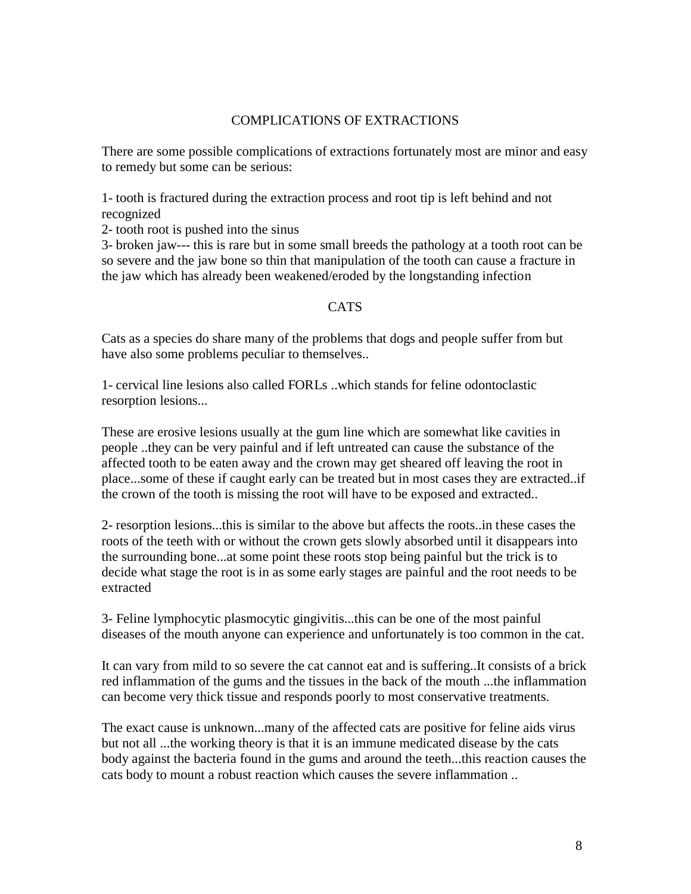#### COMPLICATIONS OF EXTRACTIONS

There are some possible complications of extractions fortunately most are minor and easy to remedy but some can be serious:

1- tooth is fractured during the extraction process and root tip is left behind and not recognized

2- tooth root is pushed into the sinus

3- broken jaw--- this is rare but in some small breeds the pathology at a tooth root can be so severe and the jaw bone so thin that manipulation of the tooth can cause a fracture in the jaw which has already been weakened/eroded by the longstanding infection

#### CATS

Cats as a species do share many of the problems that dogs and people suffer from but have also some problems peculiar to themselves..

1- cervical line lesions also called FORLs ..which stands for feline odontoclastic resorption lesions...

These are erosive lesions usually at the gum line which are somewhat like cavities in people ..they can be very painful and if left untreated can cause the substance of the affected tooth to be eaten away and the crown may get sheared off leaving the root in place...some of these if caught early can be treated but in most cases they are extracted..if the crown of the tooth is missing the root will have to be exposed and extracted..

2- resorption lesions...this is similar to the above but affects the roots..in these cases the roots of the teeth with or without the crown gets slowly absorbed until it disappears into the surrounding bone...at some point these roots stop being painful but the trick is to decide what stage the root is in as some early stages are painful and the root needs to be extracted

3- Feline lymphocytic plasmocytic gingivitis...this can be one of the most painful diseases of the mouth anyone can experience and unfortunately is too common in the cat.

It can vary from mild to so severe the cat cannot eat and is suffering..It consists of a brick red inflammation of the gums and the tissues in the back of the mouth ...the inflammation can become very thick tissue and responds poorly to most conservative treatments.

The exact cause is unknown...many of the affected cats are positive for feline aids virus but not all ...the working theory is that it is an immune medicated disease by the cats body against the bacteria found in the gums and around the teeth...this reaction causes the cats body to mount a robust reaction which causes the severe inflammation ..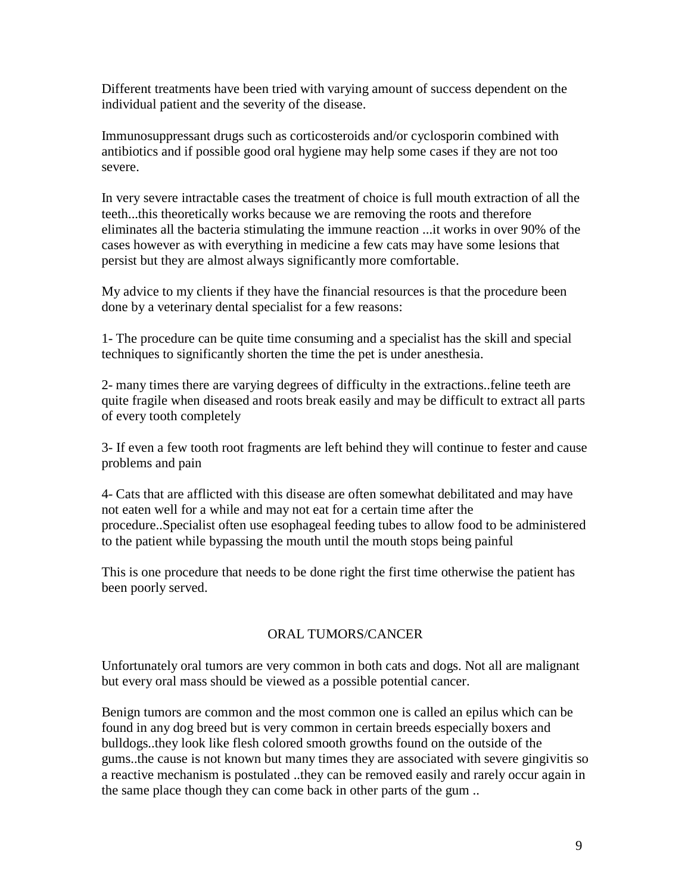Different treatments have been tried with varying amount of success dependent on the individual patient and the severity of the disease.

Immunosuppressant drugs such as corticosteroids and/or cyclosporin combined with antibiotics and if possible good oral hygiene may help some cases if they are not too severe.

In very severe intractable cases the treatment of choice is full mouth extraction of all the teeth...this theoretically works because we are removing the roots and therefore eliminates all the bacteria stimulating the immune reaction ...it works in over 90% of the cases however as with everything in medicine a few cats may have some lesions that persist but they are almost always significantly more comfortable.

My advice to my clients if they have the financial resources is that the procedure been done by a veterinary dental specialist for a few reasons:

1- The procedure can be quite time consuming and a specialist has the skill and special techniques to significantly shorten the time the pet is under anesthesia.

2- many times there are varying degrees of difficulty in the extractions..feline teeth are quite fragile when diseased and roots break easily and may be difficult to extract all parts of every tooth completely

3- If even a few tooth root fragments are left behind they will continue to fester and cause problems and pain

4- Cats that are afflicted with this disease are often somewhat debilitated and may have not eaten well for a while and may not eat for a certain time after the procedure..Specialist often use esophageal feeding tubes to allow food to be administered to the patient while bypassing the mouth until the mouth stops being painful

This is one procedure that needs to be done right the first time otherwise the patient has been poorly served.

## ORAL TUMORS/CANCER

Unfortunately oral tumors are very common in both cats and dogs. Not all are malignant but every oral mass should be viewed as a possible potential cancer.

Benign tumors are common and the most common one is called an epilus which can be found in any dog breed but is very common in certain breeds especially boxers and bulldogs..they look like flesh colored smooth growths found on the outside of the gums..the cause is not known but many times they are associated with severe gingivitis so a reactive mechanism is postulated ..they can be removed easily and rarely occur again in the same place though they can come back in other parts of the gum ..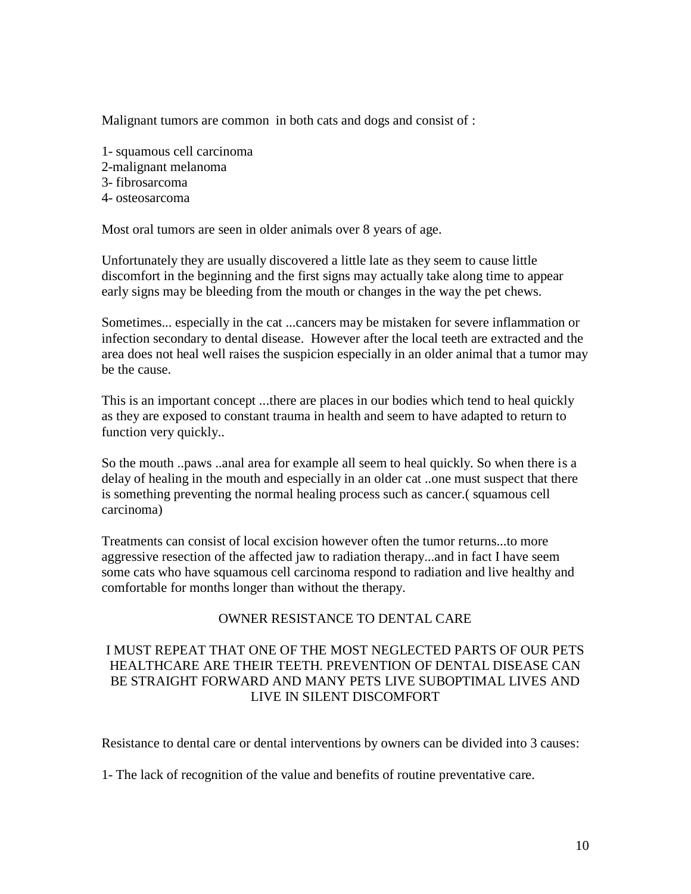Malignant tumors are common in both cats and dogs and consist of :

- 1- squamous cell carcinoma
- 2-malignant melanoma
- 3- fibrosarcoma
- 4- osteosarcoma

Most oral tumors are seen in older animals over 8 years of age.

Unfortunately they are usually discovered a little late as they seem to cause little discomfort in the beginning and the first signs may actually take along time to appear early signs may be bleeding from the mouth or changes in the way the pet chews.

Sometimes... especially in the cat ...cancers may be mistaken for severe inflammation or infection secondary to dental disease. However after the local teeth are extracted and the area does not heal well raises the suspicion especially in an older animal that a tumor may be the cause.

This is an important concept ...there are places in our bodies which tend to heal quickly as they are exposed to constant trauma in health and seem to have adapted to return to function very quickly..

So the mouth ..paws ..anal area for example all seem to heal quickly. So when there is a delay of healing in the mouth and especially in an older cat ..one must suspect that there is something preventing the normal healing process such as cancer.( squamous cell carcinoma)

Treatments can consist of local excision however often the tumor returns...to more aggressive resection of the affected jaw to radiation therapy...and in fact I have seem some cats who have squamous cell carcinoma respond to radiation and live healthy and comfortable for months longer than without the therapy.

## OWNER RESISTANCE TO DENTAL CARE

## I MUST REPEAT THAT ONE OF THE MOST NEGLECTED PARTS OF OUR PETS HEALTHCARE ARE THEIR TEETH. PREVENTION OF DENTAL DISEASE CAN BE STRAIGHT FORWARD AND MANY PETS LIVE SUBOPTIMAL LIVES AND LIVE IN SILENT DISCOMFORT

Resistance to dental care or dental interventions by owners can be divided into 3 causes:

1- The lack of recognition of the value and benefits of routine preventative care.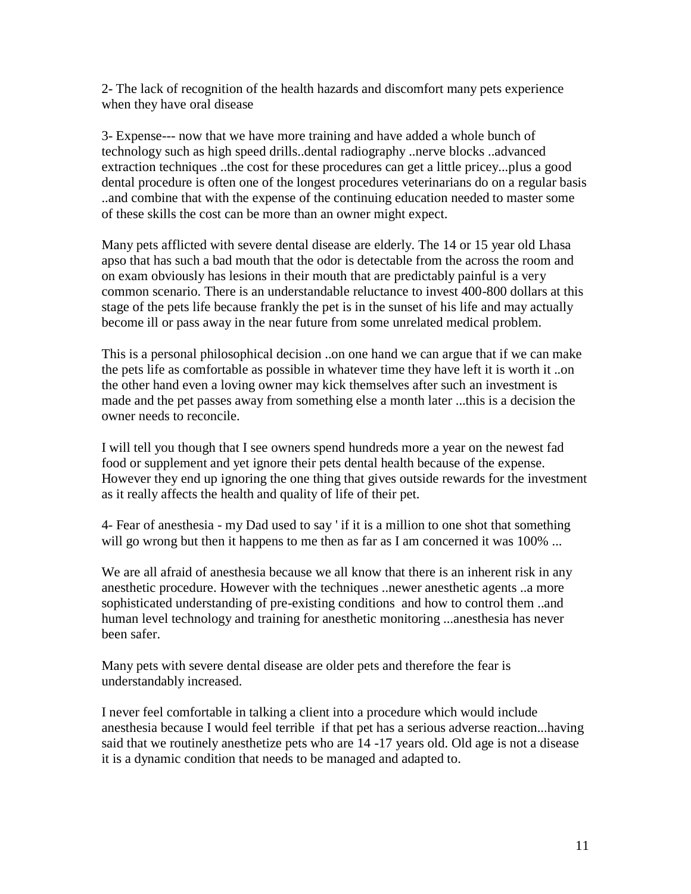2- The lack of recognition of the health hazards and discomfort many pets experience when they have oral disease

3- Expense--- now that we have more training and have added a whole bunch of technology such as high speed drills..dental radiography ..nerve blocks ..advanced extraction techniques ..the cost for these procedures can get a little pricey...plus a good dental procedure is often one of the longest procedures veterinarians do on a regular basis ..and combine that with the expense of the continuing education needed to master some of these skills the cost can be more than an owner might expect.

Many pets afflicted with severe dental disease are elderly. The 14 or 15 year old Lhasa apso that has such a bad mouth that the odor is detectable from the across the room and on exam obviously has lesions in their mouth that are predictably painful is a very common scenario. There is an understandable reluctance to invest 400-800 dollars at this stage of the pets life because frankly the pet is in the sunset of his life and may actually become ill or pass away in the near future from some unrelated medical problem.

This is a personal philosophical decision ..on one hand we can argue that if we can make the pets life as comfortable as possible in whatever time they have left it is worth it ..on the other hand even a loving owner may kick themselves after such an investment is made and the pet passes away from something else a month later ...this is a decision the owner needs to reconcile.

I will tell you though that I see owners spend hundreds more a year on the newest fad food or supplement and yet ignore their pets dental health because of the expense. However they end up ignoring the one thing that gives outside rewards for the investment as it really affects the health and quality of life of their pet.

4- Fear of anesthesia - my Dad used to say ' if it is a million to one shot that something will go wrong but then it happens to me then as far as I am concerned it was 100% ...

We are all afraid of anesthesia because we all know that there is an inherent risk in any anesthetic procedure. However with the techniques ..newer anesthetic agents ..a more sophisticated understanding of pre-existing conditions and how to control them ..and human level technology and training for anesthetic monitoring ...anesthesia has never been safer.

Many pets with severe dental disease are older pets and therefore the fear is understandably increased.

I never feel comfortable in talking a client into a procedure which would include anesthesia because I would feel terrible if that pet has a serious adverse reaction...having said that we routinely anesthetize pets who are 14 -17 years old. Old age is not a disease it is a dynamic condition that needs to be managed and adapted to.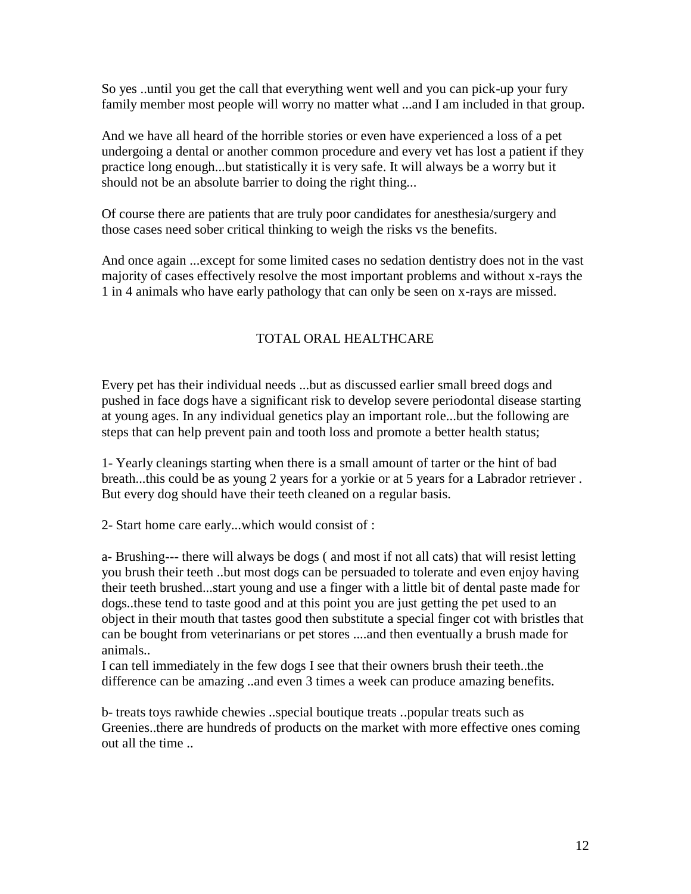So yes ..until you get the call that everything went well and you can pick-up your fury family member most people will worry no matter what ...and I am included in that group.

And we have all heard of the horrible stories or even have experienced a loss of a pet undergoing a dental or another common procedure and every vet has lost a patient if they practice long enough...but statistically it is very safe. It will always be a worry but it should not be an absolute barrier to doing the right thing...

Of course there are patients that are truly poor candidates for anesthesia/surgery and those cases need sober critical thinking to weigh the risks vs the benefits.

And once again ...except for some limited cases no sedation dentistry does not in the vast majority of cases effectively resolve the most important problems and without x-rays the 1 in 4 animals who have early pathology that can only be seen on x-rays are missed.

# TOTAL ORAL HEALTHCARE

Every pet has their individual needs ...but as discussed earlier small breed dogs and pushed in face dogs have a significant risk to develop severe periodontal disease starting at young ages. In any individual genetics play an important role...but the following are steps that can help prevent pain and tooth loss and promote a better health status;

1- Yearly cleanings starting when there is a small amount of tarter or the hint of bad breath...this could be as young 2 years for a yorkie or at 5 years for a Labrador retriever . But every dog should have their teeth cleaned on a regular basis.

2- Start home care early...which would consist of :

a- Brushing--- there will always be dogs ( and most if not all cats) that will resist letting you brush their teeth ..but most dogs can be persuaded to tolerate and even enjoy having their teeth brushed...start young and use a finger with a little bit of dental paste made for dogs..these tend to taste good and at this point you are just getting the pet used to an object in their mouth that tastes good then substitute a special finger cot with bristles that can be bought from veterinarians or pet stores ....and then eventually a brush made for animals..

I can tell immediately in the few dogs I see that their owners brush their teeth..the difference can be amazing ..and even 3 times a week can produce amazing benefits.

b- treats toys rawhide chewies ..special boutique treats ..popular treats such as Greenies..there are hundreds of products on the market with more effective ones coming out all the time ..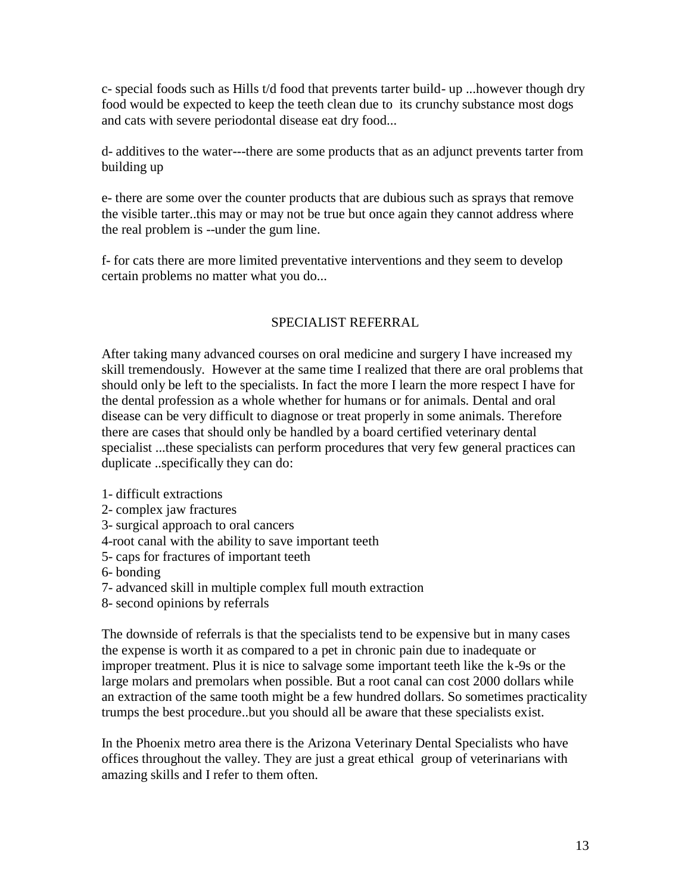c- special foods such as Hills t/d food that prevents tarter build- up ...however though dry food would be expected to keep the teeth clean due to its crunchy substance most dogs and cats with severe periodontal disease eat dry food...

d- additives to the water---there are some products that as an adjunct prevents tarter from building up

e- there are some over the counter products that are dubious such as sprays that remove the visible tarter..this may or may not be true but once again they cannot address where the real problem is --under the gum line.

f- for cats there are more limited preventative interventions and they seem to develop certain problems no matter what you do...

# SPECIALIST REFERRAL

After taking many advanced courses on oral medicine and surgery I have increased my skill tremendously. However at the same time I realized that there are oral problems that should only be left to the specialists. In fact the more I learn the more respect I have for the dental profession as a whole whether for humans or for animals. Dental and oral disease can be very difficult to diagnose or treat properly in some animals. Therefore there are cases that should only be handled by a board certified veterinary dental specialist ...these specialists can perform procedures that very few general practices can duplicate ..specifically they can do:

- 1- difficult extractions
- 2- complex jaw fractures
- 3- surgical approach to oral cancers
- 4-root canal with the ability to save important teeth
- 5- caps for fractures of important teeth
- 6- bonding
- 7- advanced skill in multiple complex full mouth extraction
- 8- second opinions by referrals

The downside of referrals is that the specialists tend to be expensive but in many cases the expense is worth it as compared to a pet in chronic pain due to inadequate or improper treatment. Plus it is nice to salvage some important teeth like the k-9s or the large molars and premolars when possible. But a root canal can cost 2000 dollars while an extraction of the same tooth might be a few hundred dollars. So sometimes practicality trumps the best procedure..but you should all be aware that these specialists exist.

In the Phoenix metro area there is the Arizona Veterinary Dental Specialists who have offices throughout the valley. They are just a great ethical group of veterinarians with amazing skills and I refer to them often.